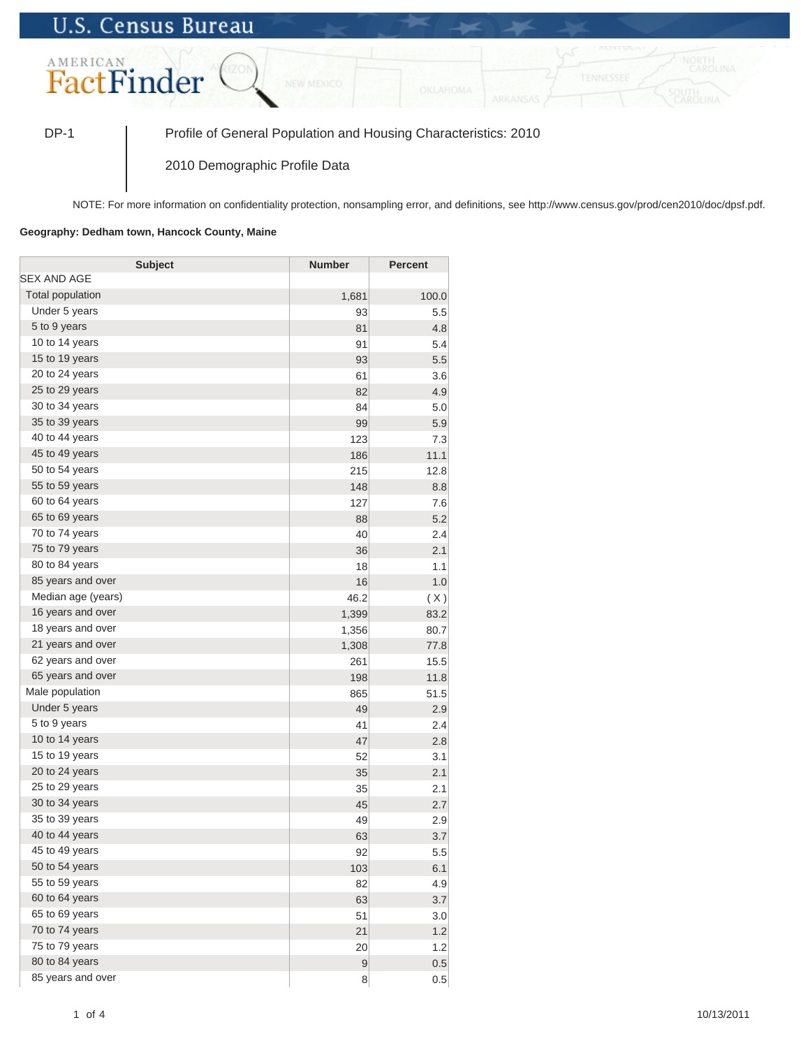## **U.S. Census Bureau**



DP-1 Profile of General Population and Housing Characteristics: 2010

2010 Demographic Profile Data

NOTE: For more information on confidentiality protection, nonsampling error, and definitions, see http://www.census.gov/prod/cen2010/doc/dpsf.pdf.

## **Geography: Dedham town, Hancock County, Maine**

| <b>Subject</b>     | <b>Number</b> | <b>Percent</b> |
|--------------------|---------------|----------------|
| SEX AND AGE        |               |                |
| Total population   | 1,681         | 100.0          |
| Under 5 years      | 93            | 5.5            |
| 5 to 9 years       | 81            | 4.8            |
| 10 to 14 years     | 91            | 5.4            |
| 15 to 19 years     | 93            | 5.5            |
| 20 to 24 years     | 61            | 3.6            |
| 25 to 29 years     | 82            | 4.9            |
| 30 to 34 years     | 84            | 5.0            |
| 35 to 39 years     | 99            | 5.9            |
| 40 to 44 years     | 123           | 7.3            |
| 45 to 49 years     | 186           | 11.1           |
| 50 to 54 years     | 215           | 12.8           |
| 55 to 59 years     | 148           | 8.8            |
| 60 to 64 years     | 127           | 7.6            |
| 65 to 69 years     | 88            | 5.2            |
| 70 to 74 years     | 40            | 2.4            |
| 75 to 79 years     | 36            | 2.1            |
| 80 to 84 years     | 18            | 1.1            |
| 85 years and over  | 16            | 1.0            |
| Median age (years) | 46.2          | (X)            |
| 16 years and over  | 1,399         | 83.2           |
| 18 years and over  | 1,356         | 80.7           |
| 21 years and over  | 1,308         | 77.8           |
| 62 years and over  | 261           | 15.5           |
| 65 years and over  | 198           | 11.8           |
| Male population    | 865           | 51.5           |
| Under 5 years      | 49            | 2.9            |
| 5 to 9 years       | 41            | 2.4            |
| 10 to 14 years     | 47            | 2.8            |
| 15 to 19 years     | 52            | 3.1            |
| 20 to 24 years     | 35            | 2.1            |
| 25 to 29 years     | 35            | 2.1            |
| 30 to 34 years     | 45            | 2.7            |
| 35 to 39 years     | 49            | 2.9            |
| 40 to 44 years     | 63            | 3.7            |
| 45 to 49 years     | 92            | 5.5            |
| 50 to 54 years     | 103           | 6.1            |
| 55 to 59 years     | 82            | 4.9            |
| 60 to 64 years     | 63            | 3.7            |
| 65 to 69 years     | 51            | 3.0            |
| 70 to 74 years     | 21            | 1.2            |
| 75 to 79 years     | 20            | 1.2            |
| 80 to 84 years     | $\mathsf 9$   | 0.5            |
| 85 years and over  | 8             | 0.5            |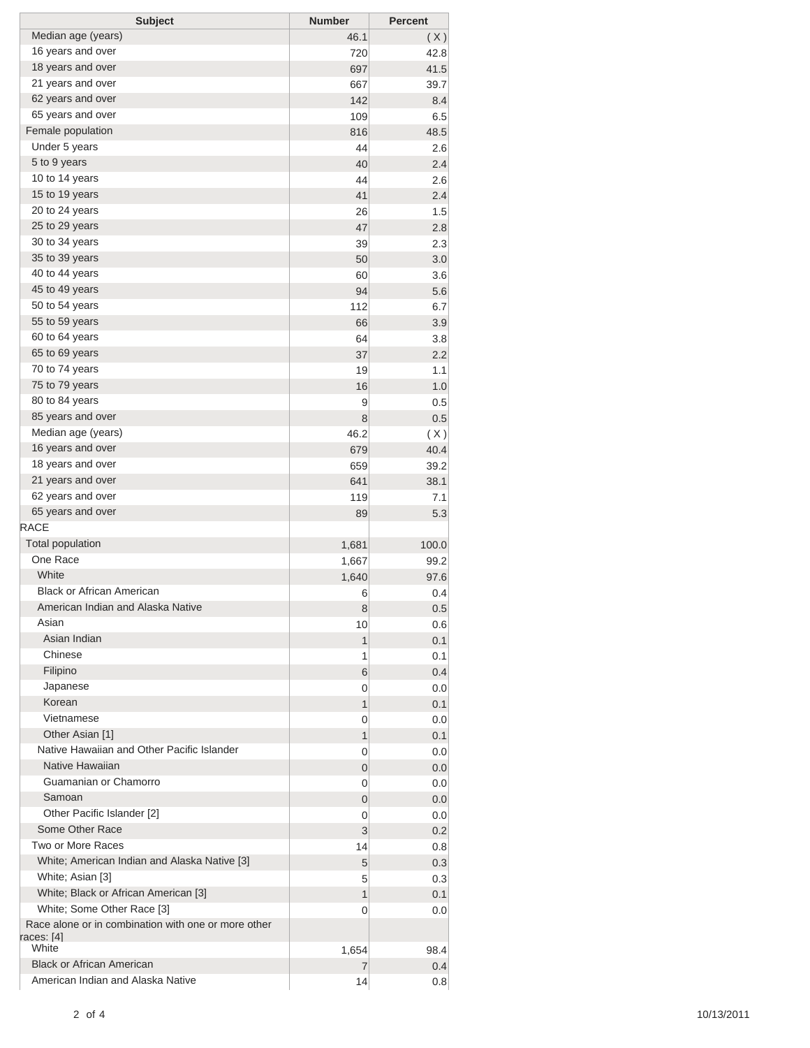| <b>Subject</b>                                                | <b>Number</b> | <b>Percent</b> |
|---------------------------------------------------------------|---------------|----------------|
| Median age (years)                                            | 46.1          | (X)            |
| 16 years and over                                             | 720           | 42.8           |
| 18 years and over                                             | 697           | 41.5           |
| 21 years and over                                             | 667           | 39.7           |
| 62 years and over                                             | 142           | 8.4            |
| 65 years and over                                             | 109           | 6.5            |
| Female population                                             | 816           | 48.5           |
| Under 5 years                                                 | 44            | 2.6            |
| 5 to 9 years                                                  | 40            | 2.4            |
| 10 to 14 years                                                | 44            | 2.6            |
| 15 to 19 years                                                | 41            | 2.4            |
| 20 to 24 years                                                | 26            | 1.5            |
| 25 to 29 years                                                | 47            | 2.8            |
| 30 to 34 years                                                | 39            | 2.3            |
| 35 to 39 years                                                | 50            | 3.0            |
| 40 to 44 years                                                | 60            | 3.6            |
| 45 to 49 years                                                | 94            | 5.6            |
| 50 to 54 years                                                | 112           | 6.7            |
| 55 to 59 years                                                | 66            | 3.9            |
| 60 to 64 years                                                | 64            | 3.8            |
| 65 to 69 years                                                | 37            | 2.2            |
| 70 to 74 years                                                | 19            | 1.1            |
| 75 to 79 years                                                | 16            | 1.0            |
| 80 to 84 years                                                | 9             | 0.5            |
| 85 years and over                                             | 8             | 0.5            |
| Median age (years)                                            | 46.2          | (X)            |
| 16 years and over                                             | 679           | 40.4           |
| 18 years and over                                             | 659           | 39.2           |
| 21 years and over                                             | 641           | 38.1           |
| 62 years and over                                             | 119           | 7.1            |
| 65 years and over                                             | 89            | 5.3            |
| <b>RACE</b>                                                   |               |                |
| <b>Total population</b>                                       | 1,681         | 100.0          |
| One Race                                                      |               |                |
| White                                                         | 1,667         | 99.2           |
| <b>Black or African American</b>                              | 1,640         | 97.6           |
| American Indian and Alaska Native                             | 6             | 0.4            |
| Asian                                                         | 8             | 0.5            |
| Asian Indian                                                  | 10            | 0.6            |
| Chinese                                                       | 1             | 0.1            |
| Filipino                                                      | 1             | 0.1            |
|                                                               | 6             | 0.4            |
| Japanese<br>Korean                                            | 0             | 0.0            |
| Vietnamese                                                    | 1             | 0.1            |
|                                                               | 0             | 0.0            |
| Other Asian [1]<br>Native Hawaiian and Other Pacific Islander | 1             | 0.1            |
|                                                               | 0             | 0.0            |
| Native Hawaiian                                               | 0             | 0.0            |
| Guamanian or Chamorro                                         | 0             | 0.0            |
| Samoan                                                        | 0             | 0.0            |
| Other Pacific Islander [2]                                    | 0             | 0.0            |
| Some Other Race                                               | 3             | 0.2            |
| Two or More Races                                             | 14            | 0.8            |
| White; American Indian and Alaska Native [3]                  | 5             | 0.3            |
| White; Asian [3]                                              | 5             | 0.3            |
| White; Black or African American [3]                          | 1             | 0.1            |
| White; Some Other Race [3]                                    | 0             | 0.0            |
| Race alone or in combination with one or more other           |               |                |
| races: [4]<br>White                                           | 1,654         | 98.4           |
| <b>Black or African American</b>                              | 7             | 0.4            |
| American Indian and Alaska Native                             | 14            | 0.8            |
|                                                               |               |                |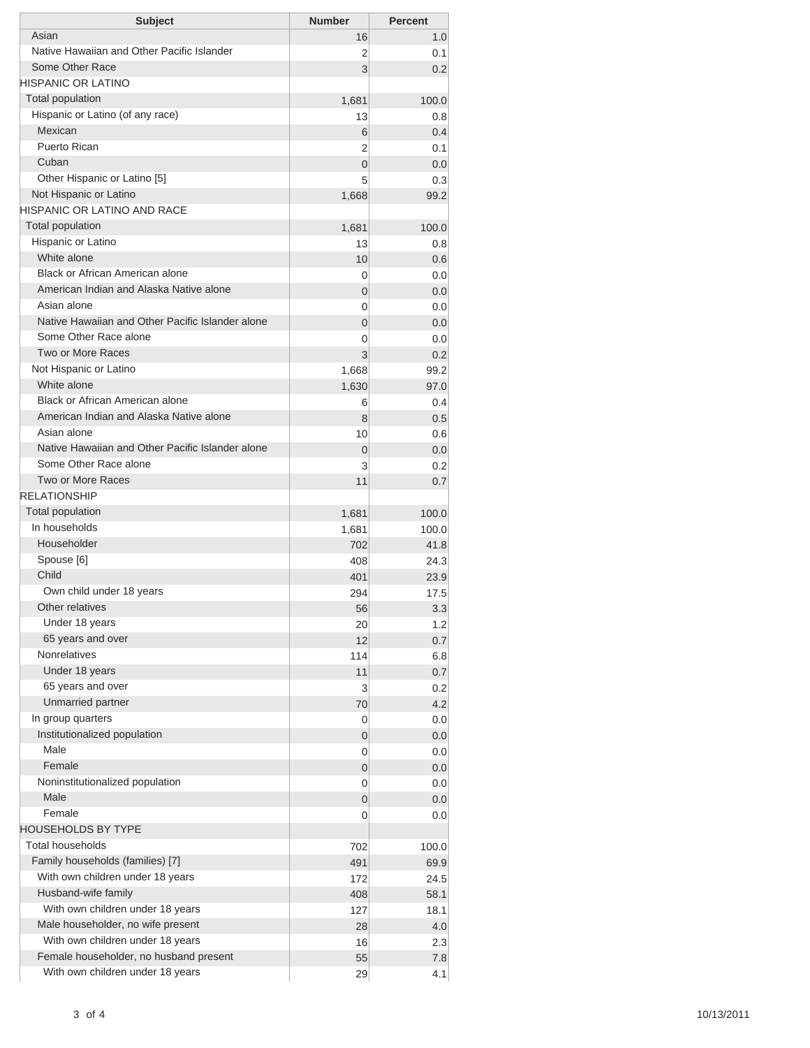| <b>Subject</b>                                        | <b>Number</b>  | <b>Percent</b> |
|-------------------------------------------------------|----------------|----------------|
| Asian                                                 | 16             | 1.0            |
| Native Hawaiian and Other Pacific Islander            | 2              | 0.1            |
| Some Other Race                                       | 3              | 0.2            |
| HISPANIC OR LATINO                                    |                |                |
| <b>Total population</b>                               | 1,681          | 100.0          |
| Hispanic or Latino (of any race)                      | 13             | 0.8            |
| Mexican                                               | 6              | 0.4            |
| Puerto Rican                                          | 2              | 0.1            |
| Cuban                                                 | $\overline{0}$ | 0.0            |
| Other Hispanic or Latino [5]                          | 5              | 0.3            |
| Not Hispanic or Latino<br>HISPANIC OR LATINO AND RACE | 1,668          | 99.2           |
| <b>Total population</b>                               |                |                |
| Hispanic or Latino                                    | 1,681          | 100.0          |
| White alone                                           | 13             | 0.8            |
| Black or African American alone                       | 10<br>0        | 0.6<br>0.0     |
| American Indian and Alaska Native alone               | 0              | 0.0            |
| Asian alone                                           | 0              | 0.0            |
| Native Hawaiian and Other Pacific Islander alone      | $\overline{0}$ | 0.0            |
| Some Other Race alone                                 | 0              | 0.0            |
| Two or More Races                                     | 3              | 0.2            |
| Not Hispanic or Latino                                | 1,668          | 99.2           |
| White alone                                           | 1,630          | 97.0           |
| Black or African American alone                       | 6              | 0.4            |
| American Indian and Alaska Native alone               | 8              | 0.5            |
| Asian alone                                           | 10             | 0.6            |
| Native Hawaiian and Other Pacific Islander alone      | 0              | 0.0            |
| Some Other Race alone                                 | 3              | 0.2            |
| Two or More Races                                     | 11             | 0.7            |
| <b>RELATIONSHIP</b>                                   |                |                |
| Total population                                      | 1,681          | 100.0          |
| In households                                         | 1,681          | 100.0          |
| Householder                                           | 702            | 41.8           |
| Spouse [6]                                            | 408            | 24.3           |
| Child                                                 | 401            | 23.9           |
| Own child under 18 years                              | 294            | 17.5           |
| Other relatives                                       | 56             | 3.3            |
| Under 18 years                                        | 20             | 1.2            |
| 65 years and over                                     | 12             | 0.7            |
| <b>Nonrelatives</b>                                   | 114            | 6.8            |
| Under 18 years                                        | 11             | 0.7            |
| 65 years and over                                     | 3              | 0.2            |
| Unmarried partner                                     | 70             | 4.2            |
| In group quarters                                     | 0              | 0.0            |
| Institutionalized population<br>Male                  | 0              | 0.0            |
|                                                       | 0              | 0.0            |
| Female                                                | 0              | 0.0            |
| Noninstitutionalized population<br>Male               | 0              | 0.0            |
| Female                                                | 0              | 0.0            |
| HOUSEHOLDS BY TYPE                                    | 0              | 0.0            |
| <b>Total households</b>                               |                |                |
| Family households (families) [7]                      | 702            | 100.0          |
| With own children under 18 years                      | 491            | 69.9           |
| Husband-wife family                                   | 172<br>408     | 24.5<br>58.1   |
| With own children under 18 years                      | 127            | 18.1           |
| Male householder, no wife present                     | 28             | 4.0            |
| With own children under 18 years                      | 16             | 2.3            |
| Female householder, no husband present                | 55             | 7.8            |
| With own children under 18 years                      | 29             | 4.1            |
|                                                       |                |                |